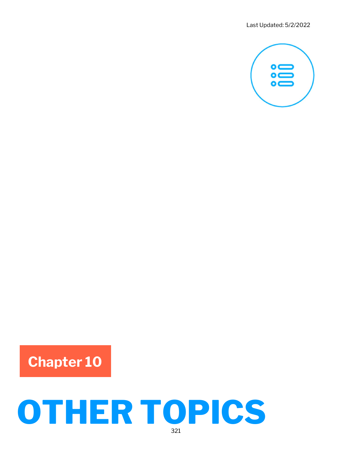

## Chapter 10

# OTHER TOPICS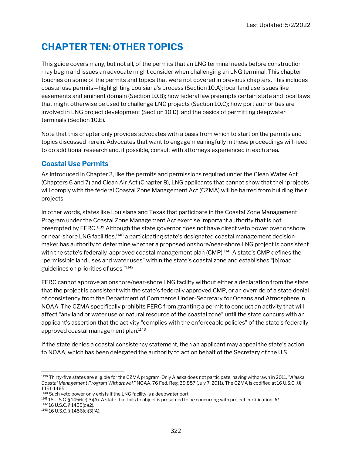### CHAPTER TEN: OTHER TOPICS

This guide covers many, but not all, of the permits that an LNG terminal needs before construction may begin and issues an advocate might consider when challenging an LNG terminal. This chapter touches on some of the permits and topics that were not covered in previous chapters. This includes coastal use permits—highlighting Louisiana's process (Section 10.A); local land use issues like easements and eminent domain (Section 10.B); how federal law preempts certain state and local laws that might otherwise be used to challenge LNG projects (Section 10.C); how port authorities are involved in LNG project development (Section 10.D); and the basics of permitting deepwater terminals (Section 10.E).

Note that this chapter only provides advocates with a basis from which to start on the permits and topics discussed herein. Advocates that want to engage meaningfully in these proceedings will need to do additional research and, if possible, consult with attorneys experienced in each area.

#### Coastal Use Permits

As introduced in Chapter 3, like the permits and permissions required under the Clean Water Act (Chapters 6 and 7) and Clean Air Act (Chapter 8), LNG applicants that cannot show that their projects will comply with the federal Coastal Zone Management Act (CZMA) will be barred from building their projects.

In other words, states like Louisiana and Texas that participate in the Coastal Zone Management Program under the Coastal Zone Management Act exercise important authority that is not preempted by FERC.<sup>1139</sup> Although the state governor does not have direct veto power over onshore or near-shore LNG facilities,<sup>1140</sup> a participating state's designated coastal management decisionmaker has authority to determine whether a proposed onshore/near-shore LNG project is consistent with the state's federally-approved coastal management plan (CMP).<sup>1141</sup> A state's CMP defines the "permissible land uses and water uses" within the state's coastal zone and establishes "[b]road guidelines on priorities of uses."<sup>1142</sup>

FERC cannot approve an onshore/near-shore LNG facility without either a declaration from the state that the project is consistent with the state's federally approved CMP, or an override of a state denial of consistency from the Department of Commerce Under-Secretary for Oceans and Atmosphere in NOAA. The CZMA specifically prohibits FERC from granting a permit to conduct an activity that will affect "any land or water use or natural resource of the coastal zone" until the state concurs with an applicant's assertion that the activity "complies with the enforceable policies" of the state's federally approved coastal management plan.<sup>1143</sup>

If the state denies a coastal consistency statement, then an applicant may appeal the state's action to NOAA, which has been delegated the authority to act on behalf of the Secretary of the U.S.

 $1141$  16 U.S.C. § 1456(c)(3)(A). A state that fails to object is presumed to be concurring with project certification. Id.

<sup>1142</sup> 16 U.S.C. § 1455(d)(2).

<sup>&</sup>lt;sup>1139</sup> Thirty-five states are eligible for the CZMA program. Only Alaska does not participate, having withdrawn in 2011. "Alaska Coastal Management Program Withdrawal." NOAA. 76 Fed. Reg. 39,857 (July 7, 2011). The CZMA is codified at 16 U.S.C. §§ 1451-1465.

<sup>1140</sup> Such veto power only exists if the LNG facility is a deepwater port.

<sup>1143</sup> 16 U.S.C. § 1456(c)(3)(A).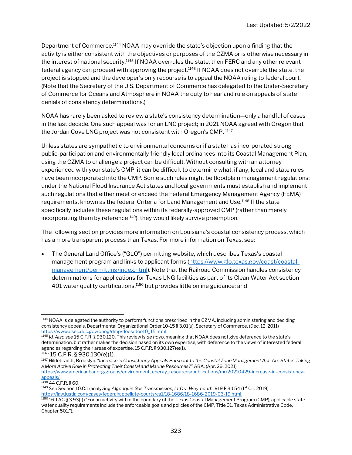Department of Commerce.<sup>1144</sup> NOAA may override the state's objection upon a finding that the activity is either consistent with the objectives or purposes of the CZMA or is otherwise necessary in the interest of national security.<sup>1145</sup> If NOAA overrules the state, then FERC and any other relevant federal agency can proceed with approving the project. $1146$  If NOAA does not overrule the state, the project is stopped and the developer's only recourse is to appeal the NOAA ruling to federal court. (Note that the Secretary of the U.S. Department of Commerce has delegated to the Under-Secretary of Commerce for Oceans and Atmosphere in NOAA the duty to hear and rule on appeals of state denials of consistency determinations.)

NOAA has rarely been asked to review a state's consistency determination—only a handful of cases in the last decade. One such appeal was for an LNG project; in 2021 NOAA agreed with Oregon that the Jordan Cove LNG project was not consistent with Oregon's CMP. <sup>1147</sup>

Unless states are sympathetic to environmental concerns or if a state has incorporated strong public-participation and environmentally friendly local ordinances into its Coastal Management Plan, using the CZMA to challenge a project can be difficult. Without consulting with an attorney experienced with your state's CMP, it can be difficult to determine what, if any, local and state rules have been incorporated into the CMP. Some such rules might be floodplain management regulations: under the National Flood Insurance Act states and local governments must establish and implement such regulations that either meet or exceed the Federal Emergency Management Agency (FEMA) requirements, known as the federal Criteria for Land Management and Use.<sup>1148</sup> If the state specifically includes these regulations within its federally-approved CMP (rather than merely incorporating them by reference<sup>1149</sup>), they would likely survive preemption.

The following section provides more information on Louisiana's coastal consistency process, which has a more transparent process than Texas. For more information on Texas, see:

 The General Land Office's ("GLO") permitting website, which describes Texas's coastal management program and links to applicant forms (https://www.glo.texas.gov/coast/coastalmanagement/permitting/index.html). Note that the Railroad Commission handles consistency determinations for applications for Texas LNG facilities as part of its Clean Water Act section 401 water quality certifications,<sup>1150</sup> but provides little online guidance; and

```
1146 15 C.F.R. § 930.130(e)(1).
```
<sup>1144</sup> NOAA is delegated the authority to perform functions prescribed in the CZMA, including administering and deciding consistency appeals. Departmental Organizational Order 10-15 § 3.01(u). Secretary of Commerce. (Dec. 12, 2011) https://www.osec.doc.gov/opog/dmp/doos/doo10\_15.html.

<sup>1145</sup> Id. Also see 15 C.F.R. § 930.120. This review is de novo, meaning that NOAA does not give deference to the state's determination, but rather makes the decision based on its own expertise, with deference to the views of interested federal agencies regarding their areas of expertise. 15 C.F.R. § 930.127(e)(1).

<sup>1147</sup> Hildebrandt, Brooklyn. "Increase in Consistency Appeals Pursuant to the Coastal Zone Management Act: Are States Taking a More Active Role in Protecting Their Coastal and Marine Resources?" ABA. (Apr. 29, 2021) https://www.americanbar.org/groups/environment\_energy\_resources/publications/mr/20210429-increase-in-consistency-

appeals/. <sup>1148</sup> 44 C.F.R. § 60.

<sup>1149</sup> See Section 10.C.1 (analyzing Algonquin Gas Transmission, LLC v. Weymouth, 919 F.3d 54 (1st Cir. 2019). https://law.justia.com/cases/federal/appellate-courts/ca1/18-1686/18-1686-2019-03-19.html.

 $^{1150}$  16 TAC § 3.93(f) ("For an activity within the boundary of the Texas Coastal Management Program (CMP), applicable state water quality requirements include the enforceable goals and policies of the CMP, Title 31, Texas Administrative Code, Chapter 501.").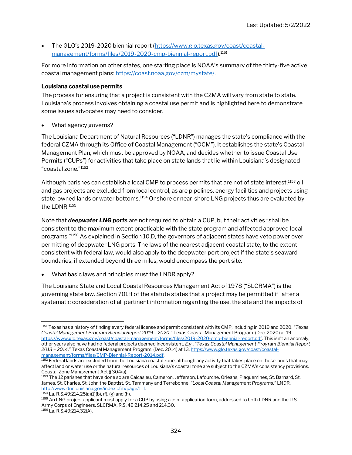The GLO's 2019-2020 biennial report (https://www.glo.texas.gov/coast/coastalmanagement/forms/files/2019-2020-cmp-biennial-report.pdf).<sup>1151</sup>

For more information on other states, one starting place is NOAA's summary of the thirty-five active coastal management plans: https://coast.noaa.gov/czm/mystate/.

#### Louisiana coastal use permits

The process for ensuring that a project is consistent with the CZMA will vary from state to state. Louisiana's process involves obtaining a coastal use permit and is highlighted here to demonstrate some issues advocates may need to consider.

What agency governs?

The Louisiana Department of Natural Resources ("LDNR") manages the state's compliance with the federal CZMA through its Office of Coastal Management ("OCM"). It establishes the state's Coastal Management Plan, which must be approved by NOAA, and decides whether to issue Coastal Use Permits ("CUPs") for activities that take place on state lands that lie within Louisiana's designated "coastal zone."<sup>1152</sup>

Although parishes can establish a local CMP to process permits that are not of state interest,<sup>1153</sup> oil and gas projects are excluded from local control, as are pipelines, energy facilities and projects using state-owned lands or water bottoms.<sup>1154</sup> Onshore or near-shore LNG projects thus are evaluated by the LDNR.<sup>1155</sup>

Note that **deepwater LNG ports** are not required to obtain a CUP, but their activities "shall be consistent to the maximum extent practicable with the state program and affected approved local programs."<sup>1156</sup> As explained in Section 10.D, the governors of adjacent states have veto power over permitting of deepwater LNG ports. The laws of the nearest adjacent coastal state, to the extent consistent with federal law, would also apply to the deepwater port project if the state's seaward boundaries, if extended beyond three miles, would encompass the port site.

What basic laws and principles must the LNDR apply?

The Louisiana State and Local Coastal Resources Management Act of 1978 ("SLCRMA") is the governing state law. Section 701H of the statute states that a project may be permitted if "after a systematic consideration of all pertinent information regarding the use, the site and the impacts of

<sup>1151</sup> Texas has a history of finding every federal license and permit consistent with its CMP, including in 2019 and 2020. "Texas Coastal Management Program Biennial Report 2019 – 2020." Texas Coastal Management Program. (Dec. 2020) at 19. https://www.glo.texas.gov/coast/coastal-management/forms/files/2019-2020-cmp-biennial-report.pdf. This isn't an anomaly; other years also have had no federal projects deemed inconsistent. E.g., "Texas Coastal Management Program Biennial Report 2013 – 2014." Texas Coastal Management Program. (Dec. 2014) at 13. https://www.glo.texas.gov/coast/coastalmanagement/forms/files/CMP-Biennial-Report-2014.pdf.

<sup>1152</sup> Federal lands are excluded from the Louisiana coastal zone, although any activity that takes place on those lands that may affect land or water use or the natural resources of Louisiana's coastal zone are subject to the CZMA's consistency provisions. Coastal Zone Management Act § 304(a).

<sup>1153</sup> The 12 parishes that have done so are Calcasieu, Cameron, Jefferson, Lafourche, Orleans, Plaquemines, St. Barnard, St. James, St. Charles, St. John the Baptist, St. Tammany and Terrebonne. "Local Coastal Management Programs." LNDR. http://www.dnr.louisiana.gov/index.cfm/page/111.

 $1154$  La. R.S.49:214.25(a)(1)(b), (f), (g) and (h).

<sup>1155</sup> An LNG project applicant must apply for a CUP by using a joint application form, addressed to both LDNR and the U.S. Army Corps of Engineers. SLCRMA, R.S. 49:214.25 and 214.30.  $1156$  La. R.S.49:214.32(A).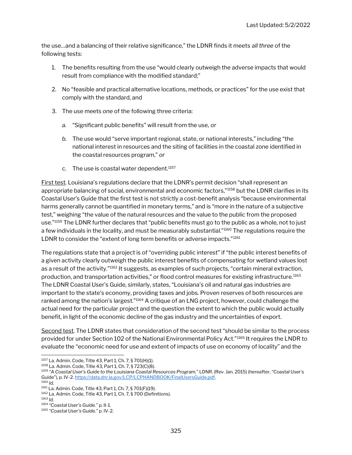the use…and a balancing of their relative significance," the LDNR finds it meets all three of the following tests:

- 1. The benefits resulting from the use "would clearly outweigh the adverse impacts that would result from compliance with the modified standard;"
- 2. No "feasible and practical alternative locations, methods, or practices" for the use exist that comply with the standard, and
- 3. The use meets one of the following three criteria:
	- a. "Significant public benefits" will result from the use, or
	- b. The use would "serve important regional, state, or national interests," including "the national interest in resources and the siting of facilities in the coastal zone identified in the coastal resources program," or
	- c. The use is coastal water dependent. $1157$

First test. Louisiana's regulations declare that the LDNR's permit decision "shall represent an appropriate balancing of social, environmental and economic factors,"1158 but the LDNR clarifies in its Coastal User's Guide that the first test is not strictly a cost-benefit analysis "because environmental harms generally cannot be quantified in monetary terms," and is "more in the nature of a subjective test," weighing "the value of the natural resources and the value to the public from the proposed use."<sup>1159</sup> The LDNR further declares that "public benefits must go to the public as a whole, not to just a few individuals in the locality, and must be measurably substantial."<sup>1160</sup> The regulations require the LDNR to consider the "extent of long term benefits or adverse impacts."<sup>1161</sup>

The regulations state that a project is of "overriding public interest" if "the public interest benefits of a given activity clearly outweigh the public interest benefits of compensating for wetland values lost as a result of the activity."<sup>1162</sup> It suggests, as examples of such projects, "certain mineral extraction, production, and transportation activities," or flood control measures for existing infrastructure.<sup>1163</sup> The LDNR Coastal User's Guide, similarly, states, "Louisiana's oil and natural gas industries are important to the state's economy, providing taxes and jobs. Proven reserves of both resources are ranked among the nation's largest."<sup>1164</sup> A critique of an LNG project, however, could challenge the actual need for the particular project and the question the extent to which the public would actually benefit, in light of the economic decline of the gas industry and the uncertainties of export.

Second test. The LDNR states that consideration of the second test "should be similar to the process provided for under Section 102 of the National Environmental Policy Act."<sup>1165</sup> It requires the LNDR to evaluate the "economic need for use and extent of impacts of use on economy of locality" and the

<sup>1157</sup> La. Admin. Code, Title 43, Part 1, Ch. 7, § 701(H)(1).

<sup>1158</sup> La. Admin. Code, Title 43, Part 1, Ch. 7, § 723(C)(8).

<sup>1159</sup> "A Coastal User's Guide to the Louisiana Coastal Resources Program." LDNR. (Rev. Jan. 2015) (hereafter, "Coastal User's Guide"), p. IV-2. https://data.dnr.la.gov/LCP/LCPHANDBOOK/FinalUsersGuide.pdf.

 $1160$  *Id.* 

<sup>1161</sup> La. Admin. Code, Title 43, Part 1, Ch. 7, § 701(F)(19).

<sup>1162</sup> La. Admin. Code, Title 43, Part 1, Ch. 7, § 700 (Definitions).

<sup>1163</sup> Id.

<sup>1164</sup> "Coastal User's Guide." p. II-1.

<sup>1165</sup> "Coastal User's Guide." p. IV-2.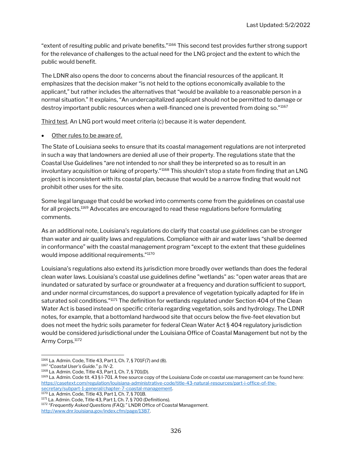"extent of resulting public and private benefits."<sup>1166</sup> This second test provides further strong support for the relevance of challenges to the actual need for the LNG project and the extent to which the public would benefit.

The LDNR also opens the door to concerns about the financial resources of the applicant. It emphasizes that the decision maker "is not held to the options economically available to the applicant," but rather includes the alternatives that "would be available to a reasonable person in a normal situation." It explains, "An undercapitalized applicant should not be permitted to damage or destroy important public resources when a well-financed one is prevented from doing so."<sup>1167</sup>

Third test. An LNG port would meet criteria (c) because it is water dependent.

#### Other rules to be aware of.

The State of Louisiana seeks to ensure that its coastal management regulations are not interpreted in such a way that landowners are denied all use of their property. The regulations state that the Coastal Use Guidelines "are not intended to nor shall they be interpreted so as to result in an involuntary acquisition or taking of property."<sup>1168</sup> This shouldn't stop a state from finding that an LNG project is inconsistent with its coastal plan, because that would be a narrow finding that would not prohibit other uses for the site.

Some legal language that could be worked into comments come from the guidelines on coastal use for all projects.<sup>1169</sup> Advocates are encouraged to read these regulations before formulating comments.

As an additional note, Louisiana's regulations do clarify that coastal use guidelines can be stronger than water and air quality laws and regulations. Compliance with air and water laws "shall be deemed in conformance" with the coastal management program "except to the extent that these guidelines would impose additional requirements."<sup>1170</sup>

Louisiana's regulations also extend its jurisdiction more broadly over wetlands than does the federal clean water laws. Louisiana's coastal use guidelines define "wetlands" as: "open water areas that are inundated or saturated by surface or groundwater at a frequency and duration sufficient to support, and under normal circumstances, do support a prevalence of vegetation typically adapted for life in saturated soil conditions."<sup>1171</sup> The definition for wetlands regulated under Section 404 of the Clean Water Act is based instead on specific criteria regarding vegetation, soils and hydrology. The LDNR notes, for example, that a bottomland hardwood site that occurs below the five-feet elevation but does not meet the hydric soils parameter for federal Clean Water Act § 404 regulatory jurisdiction would be considered jurisdictional under the Louisiana Office of Coastal Management but not by the Army Corps.<sup>1172</sup>

<sup>1170</sup> La. Admin. Code, Title 43, Part 1, Ch. 7, § 701B.

<sup>1166</sup> La. Admin. Code, Title 43, Part 1, Ch. 7, § 701F(7) and (8).

<sup>1167</sup> "Coastal User's Guide." p. IV-2.

<sup>1168</sup> La. Admin. Code, Title 43, Part 1, Ch. 7, § 701(D).

<sup>1169</sup> La. Admin. Code tit. 43 § I-701. A free source copy of the Louisiana Code on coastal use management can be found here: https://casetext.com/regulation/louisiana-administrative-code/title-43-natural-resources/part-i-office-of-thesecretary/subpart-1-general/chapter-7-coastal-management.

<sup>1171</sup> La. Admin. Code, Title 43, Part 1, Ch. 7, § 700 (Definitions).

<sup>1172 &</sup>quot;Frequently Asked Questions (FAQ)." LNDR Office of Coastal Management. http://www.dnr.louisiana.gov/index.cfm/page/1387.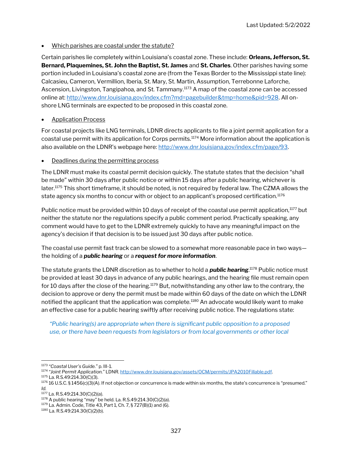Which parishes are coastal under the statute?

Certain parishes lie completely within Louisiana's coastal zone. These include: Orleans, Jefferson, St. Bernard, Plaquemines, St. John the Baptist, St. James and St. Charles. Other parishes having some portion included in Louisiana's coastal zone are (from the Texas Border to the Mississippi state line): Calcasieu, Cameron, Vermillion, Iberia, St. Mary, St. Martin, Assumption, Terrebonne Laforche, Ascension, Livingston, Tangipahoa, and St. Tammany.<sup>1173</sup> A map of the coastal zone can be accessed online at: http://www.dnr.louisiana.gov/index.cfm?md=pagebuilder&tmp=home&pid=928. All onshore LNG terminals are expected to be proposed in this coastal zone.

#### Application Process

For coastal projects like LNG terminals, LDNR directs applicants to file a joint permit application for a coastal use permit with its application for Corps permits.<sup>1174</sup> More information about the application is also available on the LDNR's webpage here: http://www.dnr.louisiana.gov/index.cfm/page/93.

#### Deadlines during the permitting process

The LDNR must make its coastal permit decision quickly. The statute states that the decision "shall be made" within 30 days after public notice or within 15 days after a public hearing, whichever is later.<sup>1175</sup> This short timeframe, it should be noted, is not required by federal law. The CZMA allows the state agency six months to concur with or object to an applicant's proposed certification.<sup>1176</sup>

Public notice must be provided within 10 days of receipt of the coastal use permit application,<sup>1177</sup> but neither the statute nor the regulations specify a public comment period. Practically speaking, any comment would have to get to the LDNR extremely quickly to have any meaningful impact on the agency's decision if that decision is to be issued just 30 days after public notice.

The coastal use permit fast track can be slowed to a somewhat more reasonable pace in two ways the holding of a *public hearing* or a *request for more information*.

The statute grants the LDNR discretion as to whether to hold a **public hearing**.<sup>1178</sup> Public notice must be provided at least 30 days in advance of any public hearings, and the hearing file must remain open for 10 days after the close of the hearing.<sup>1179</sup> But, notwithstanding any other law to the contrary, the decision to approve or deny the permit must be made within 60 days of the date on which the LDNR notified the applicant that the application was complete.<sup>1180</sup> An advocate would likely want to make an effective case for a public hearing swiftly after receiving public notice. The regulations state:

"Public hearing(s) are appropriate when there is significant public opposition to a proposed use, or there have been requests from legislators or from local governments or other local

- 1174 "Joint Permit Application." LDNR. http://www.dnr.louisiana.gov/assets/OCM/permits/JPA2010Fillable.pdf.
- <sup>1175</sup> La. R.S.49:214.30(C)(3).

<sup>1173</sup> "Coastal User's Guide." p. III-1.

<sup>1176 16</sup> U.S.C. § 1456(c)(3)(A). If not objection or concurrence is made within six months, the state's concurrence is "presumed." Id.

 $1177$  La. R.S.49:214.30(C)(2)(a).

<sup>1178</sup> A public hearing "may" be held. La. R.S.49:214.30(C)(2)(a).

<sup>1179</sup> La. Admin. Code, Title 43, Part 1, Ch. 7, § 727(B)(1) and (6).

<sup>1180</sup> La. R.S.49:214.30(C)(2)(b).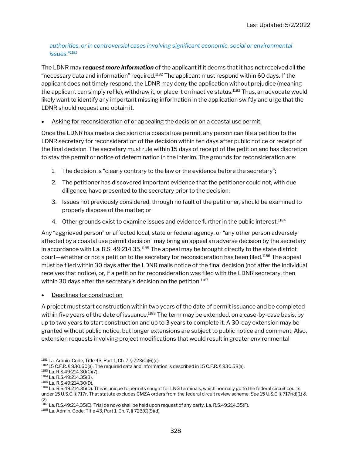#### authorities, or in controversial cases involving significant economic, social or environmental issues."<sup>1181</sup>

The LDNR may **request more information** of the applicant if it deems that it has not received all the "necessary data and information" required.<sup>1182</sup> The applicant must respond within 60 days. If the applicant does not timely respond, the LDNR may deny the application without prejudice (meaning the applicant can simply refile), withdraw it, or place it on inactive status.<sup>1183</sup> Thus, an advocate would likely want to identify any important missing information in the application swiftly and urge that the LDNR should request and obtain it.

#### Asking for reconsideration of or appealing the decision on a coastal use permit.

Once the LDNR has made a decision on a coastal use permit, any person can file a petition to the LDNR secretary for reconsideration of the decision within ten days after public notice or receipt of the final decision. The secretary must rule within 15 days of receipt of the petition and has discretion to stay the permit or notice of determination in the interim. The grounds for reconsideration are:

- 1. The decision is "clearly contrary to the law or the evidence before the secretary";
- 2. The petitioner has discovered important evidence that the petitioner could not, with due diligence, have presented to the secretary prior to the decision;
- 3. Issues not previously considered, through no fault of the petitioner, should be examined to properly dispose of the matter; or
- 4. Other grounds exist to examine issues and evidence further in the public interest.<sup>1184</sup>

Any "aggrieved person" or affected local, state or federal agency, or "any other person adversely affected by a coastal use permit decision" may bring an appeal an adverse decision by the secretary in accordance with La. R.S. 49:214.35.<sup>1185</sup> The appeal may be brought directly to the state district court—whether or not a petition to the secretary for reconsideration has been filed.<sup>1186</sup> The appeal must be filed within 30 days after the LDNR mails notice of the final decision (not after the individual receives that notice), or, if a petition for reconsideration was filed with the LDNR secretary, then within 30 days after the secretary's decision on the petition.<sup>1187</sup>

Deadlines for construction

A project must start construction within two years of the date of permit issuance and be completed within five years of the date of issuance.<sup>1188</sup> The term may be extended, on a case-by-case basis, by up to two years to start construction and up to 3 years to complete it. A 30-day extension may be granted without public notice, but longer extensions are subject to public notice and comment. Also, extension requests involving project modifications that would result in greater environmental

 $^{1187}$  La. R.S.49:214.35(E). Trial de novo shall be held upon request of any party. La. R.S.49:214.35(F).

<sup>1181</sup> La. Admin. Code, Title 43, Part 1, Ch. 7, § 723(C)(6)(c).

<sup>1182</sup> 15 C.F.R. § 930.60(a). The required data and information is described in 15 C.F.R. § 930.58(a).

<sup>1183</sup> La. R.S.49:214.30(C)(7).

<sup>1184</sup> La. R.S.49:214.35(B).

<sup>1185</sup> La. R.S.49:214.30(D).

<sup>1186</sup> La. R.S.49:214.35(D). This is unique to permits sought for LNG terminals, which normally go to the federal circuit courts under 15 U.S.C. § 717r. That statute excludes CMZA orders from the federal circuit review scheme. See 15 U.S.C. § 717r(d)(1) & (2).

<sup>1188</sup> La. Admin. Code, Title 43, Part 1, Ch. 7, § 723(C)(9)(d).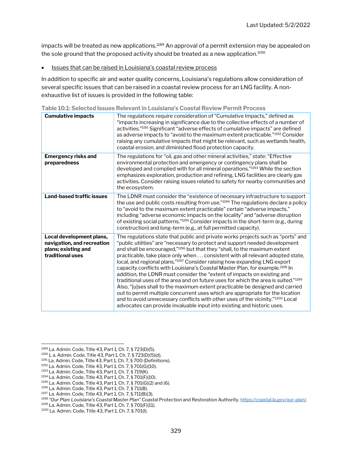impacts will be treated as new applications.<sup>1189</sup> An approval of a permit extension may be appealed on the sole ground that the proposed activity should be treated as a new application.<sup>1190</sup>

• Issues that can be raised in Louisiana's coastal review process

In addition to specific air and water quality concerns, Louisiana's regulations allow consideration of several specific issues that can be raised in a coastal review process for an LNG facility. A nonexhaustive list of issues is provided in the following table:

| <b>Cumulative impacts</b>                                                                         | The regulations require consideration of "Cumulative Impacts," defined as<br>"impacts increasing in significance due to the collective effects of a number of<br>activities." <sup>1191</sup> Significant "adverse effects of cumulative impacts" are defined<br>as adverse impacts to "avoid to the maximum extent practicable." <sup>1192</sup> Consider<br>raising any cumulative impacts that might be relevant, such as wetlands health,<br>coastal erosion, and diminished flood protection capacity.                                                                                                                                                                                                                                                                                                                                                                                                                                                                                                         |
|---------------------------------------------------------------------------------------------------|---------------------------------------------------------------------------------------------------------------------------------------------------------------------------------------------------------------------------------------------------------------------------------------------------------------------------------------------------------------------------------------------------------------------------------------------------------------------------------------------------------------------------------------------------------------------------------------------------------------------------------------------------------------------------------------------------------------------------------------------------------------------------------------------------------------------------------------------------------------------------------------------------------------------------------------------------------------------------------------------------------------------|
| <b>Emergency risks and</b><br>preparedness                                                        | The regulations for "oil, gas and other mineral activities," state: "Effective<br>environmental protection and emergency or contingency plans shall be<br>developed and complied with for all mineral operations."1193 While the section<br>emphasizes exploration, production and refining, LNG facilities are clearly gas<br>activities. Consider raising issues related to safety for nearby communities and<br>the ecosystem.                                                                                                                                                                                                                                                                                                                                                                                                                                                                                                                                                                                   |
| Land-based traffic issues                                                                         | The LDNR must consider the "existence of necessary infrastructure to support<br>the use and public costs resulting from use."1194 The regulations declare a policy<br>to "avoid to the maximum extent practicable" certain "adverse impacts,"<br>including "adverse economic impacts on the locality" and "adverse disruption<br>of existing social patterns."1195 Consider impacts in the short-term (e.g., during<br>construction) and long-term (e.g., at full permitted capacity).                                                                                                                                                                                                                                                                                                                                                                                                                                                                                                                              |
| Local development plans,<br>navigation, and recreation<br>plans; existing and<br>traditional uses | The regulations state that public and private works projects such as "ports" and<br>"public utilities" are "necessary to protect and support needed development<br>and shall be encouraged,"1196 but that they "shall, to the maximum extent<br>practicable, take place only when  consistent with all relevant adopted state,<br>local, and regional plans."1197 Consider raising how expanding LNG export<br>capacity conflicts with Louisiana's Coastal Master Plan, for example. <sup>1198</sup> In<br>addition, the LDNR must consider the "extent of impacts on existing and<br>traditional uses of the area and on future uses for which the area is suited." <sup>1199</sup><br>Also, "[u]ses shall to the maximum extent practicable be designed and carried<br>out to permit multiple concurrent uses which are appropriate for the location<br>and to avoid unnecessary conflicts with other uses of the vicinity."1200 Local<br>advocates can provide invaluable input into existing and historic uses. |

Table 10.1: Selected Issues Relevant in Louisiana's Coastal Review Permit Process

<sup>1189</sup> La. Admin. Code, Title 43, Part 1, Ch. 7, § 723(D)(5).

<sup>1190</sup> L a. Admin. Code, Title 43, Part 1, Ch. 7, § 723(D)(5)(d).

<sup>1191</sup> La. Admin. Code, Title 43, Part 1, Ch. 7, § 700 (Definitions).

<sup>1192</sup> La. Admin. Code, Title 43, Part 1, Ch. 7, § 701(G)(10).

<sup>1193</sup> La. Admin. Code, Title 43, Part 1, Ch. 7, § 719(K).

<sup>1194</sup> La. Admin. Code, Title 43, Part 1, Ch. 7, § 701(F)(10).

<sup>1195</sup> La. Admin. Code, Title 43, Part 1, Ch. 7, § 701(G)(2) and (6).

<sup>1196</sup> La. Admin. Code, Title 43, Part 1, Ch. 7, § 711(B).

<sup>1197</sup> La. Admin. Code, Title 43, Part 1, Ch. 7, § 711(B)(3).

<sup>1198</sup> "Our Plan: Louisiana's Coastal Master Plan" Coastal Protection and Restoration Authority. https://coastal.la.gov/our-plan/.

<sup>1199</sup> La. Admin. Code, Title 43, Part 1, Ch. 7, § 701(F)(11).

<sup>1200</sup> La. Admin. Code, Title 43, Part 1, Ch. 7, § 701(I).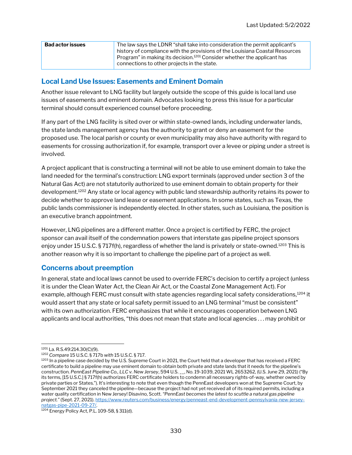| <b>Bad actor issues</b> | The law says the LDNR "shall take into consideration the permit applicant's<br>history of compliance with the provisions of the Louisiana Coastal Resources |
|-------------------------|-------------------------------------------------------------------------------------------------------------------------------------------------------------|
|                         | Program" in making its decision. <sup>1201</sup> Consider whether the applicant has<br>connections to other projects in the state.                          |

#### Local Land Use Issues: Easements and Eminent Domain

Another issue relevant to LNG facility but largely outside the scope of this guide is local land use issues of easements and eminent domain. Advocates looking to press this issue for a particular terminal should consult experienced counsel before proceeding.

If any part of the LNG facility is sited over or within state-owned lands, including underwater lands, the state lands management agency has the authority to grant or deny an easement for the proposed use. The local parish or county or even municipality may also have authority with regard to easements for crossing authorization if, for example, transport over a levee or piping under a street is involved.

A project applicant that is constructing a terminal will not be able to use eminent domain to take the land needed for the terminal's construction: LNG export terminals (approved under section 3 of the Natural Gas Act) are not statutorily authorized to use eminent domain to obtain property for their development.<sup>1202</sup> Any state or local agency with public land stewardship authority retains its power to decide whether to approve land lease or easement applications. In some states, such as Texas, the public lands commissioner is independently elected. In other states, such as Louisiana, the position is an executive branch appointment.

However, LNG pipelines are a different matter. Once a project is certified by FERC, the project sponsor can avail itself of the condemnation powers that interstate gas pipeline project sponsors enjoy under 15 U.S.C. § 717f(h), regardless of whether the land is privately or state-owned.<sup>1203</sup> This is another reason why it is so important to challenge the pipeline part of a project as well.

#### Concerns about preemption

In general, state and local laws cannot be used to override FERC's decision to certify a project (unless it is under the Clean Water Act, the Clean Air Act, or the Coastal Zone Management Act). For example, although FERC must consult with state agencies regarding local safety considerations,<sup>1204</sup> it would assert that any state or local safety permit issued to an LNG terminal "must be consistent" with its own authorization. FERC emphasizes that while it encourages cooperation between LNG applicants and local authorities, "this does not mean that state and local agencies . . . may prohibit or

<sup>1201</sup> La. R.S.49:214.30(C)(9).

<sup>1202</sup> Compare 15 U.S.C. § 717b with 15 U.S.C. § 717.

<sup>1203</sup> In a pipeline case decided by the U.S. Supreme Court in 2021, the Court held that a developer that has received a FERC certificate to build a pipeline may use eminent domain to obtain both private and state lands that it needs for the pipeline's construction. PennEast Pipeline Co., LLC v. New Jersey, 594 U.S. \_\_, No. 19-1039, 2021 WL 2653262, (U.S. June 29, 2021) ("By its terms, [15 U.S.C.] § 717f(h) authorizes FERC certificate holders to condemn all necessary rights-of-way, whether owned by private parties or States."). It's interesting to note that even though the PennEast developers won at the Supreme Court, by September 2021 they canceled the pipeline—because the project had not yet received all of its required permits, including a water quality certification in New Jersey! Disavino, Scott. "PennEast becomes the latest to scuttle a natural gas pipeline project." (Sept. 27, 2021). https://www.reuters.com/business/energy/penneast-end-development-pennsylvania-new-jerseynatgas-pipe-2021-09-27/.

<sup>1204</sup> Energy Policy Act, P.L. 109-58, § 311(d).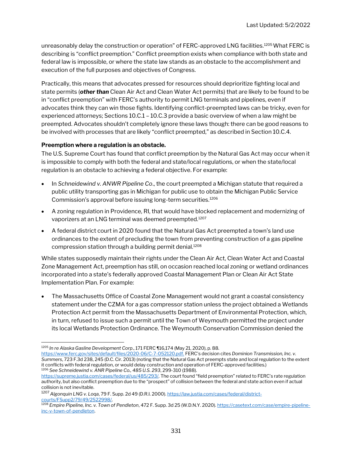unreasonably delay the construction or operation" of FERC-approved LNG facilities.<sup>1205</sup> What FERC is describing is "conflict preemption." Conflict preemption exists when compliance with both state and federal law is impossible, or where the state law stands as an obstacle to the accomplishment and execution of the full purposes and objectives of Congress.

Practically, this means that advocates pressed for resources should deprioritize fighting local and state permits (other than Clean Air Act and Clean Water Act permits) that are likely to be found to be in "conflict preemption" with FERC's authority to permit LNG terminals and pipelines, even if advocates think they can win those fights. Identifying conflict-preempted laws can be tricky, even for experienced attorneys; Sections 10.C.1 – 10.C.3 provide a basic overview of when a law might be preempted. Advocates shouldn't completely ignore these laws though: there can be good reasons to be involved with processes that are likely "conflict preempted," as described in Section 10.C.4.

#### Preemption where a regulation is an obstacle.

The U.S. Supreme Court has found that conflict preemption by the Natural Gas Act may occur when it is impossible to comply with both the federal and state/local regulations, or when the state/local regulation is an obstacle to achieving a federal objective. For example:

- In Schneidewind v. ANWR Pipeline Co., the court preempted a Michigan statute that required a public utility transporting gas in Michigan for public use to obtain the Michigan Public Service Commission's approval before issuing long-term securities.<sup>1206</sup>
- A zoning regulation in Providence, RI, that would have blocked replacement and modernizing of vaporizers at an LNG terminal was deemed preempted.<sup>1207</sup>
- A federal district court in 2020 found that the Natural Gas Act preempted a town's land use ordinances to the extent of precluding the town from preventing construction of a gas pipeline compression station through a building permit denial.<sup>1208</sup>

While states supposedly maintain their rights under the Clean Air Act, Clean Water Act and Coastal Zone Management Act, preemption has still, on occasion reached local zoning or wetland ordinances incorporated into a state's federally approved Coastal Management Plan or Clean Air Act State Implementation Plan. For example:

 The Massachusetts Office of Coastal Zone Management would not grant a coastal consistency statement under the CZMA for a gas compressor station unless the project obtained a Wetlands Protection Act permit from the Massachusetts Department of Environmental Protection, which, in turn, refused to issue such a permit until the Town of Weymouth permitted the project under its local Wetlands Protection Ordinance. The Weymouth Conservation Commission denied the

<sup>1205</sup> In re Alaska Gasline Development Corp., 171 FERC ¶16,174 (May 21, 2020), p. 88.

https://www.ferc.gov/sites/default/files/2020-06/C-7-052120.pdf. FERC's decision cites Dominion Transmission, Inc. v. Summers, 723 F.3d 238, 245 (D.C. Cir. 2013) (noting that the Natural Gas Act preempts state and local regulation to the extent it conflicts with federal regulation, or would delay construction and operation of FERC-approved facilities.) <sup>1206</sup> See Schneidewind v. ANR Pipeline Co., 485 U.S. 293, 299-310 (1988).

https://supreme.justia.com/cases/federal/us/485/293/. The court found "field preemption" related to FERC's rate regulation authority, but also conflict preemption due to the "prospect" of collision between the federal and state action even if actual collision is not inevitable.

<sup>1207</sup> Algonquin LNG v. Loqa, 79 F. Supp. 2d 49 (D.R.I. 2000). https://law.justia.com/cases/federal/districtourts/FSupp2/79/49/2522998/.

<sup>1208</sup> Empire Pipeline, Inc. v. Town of Pendleton, 472 F. Supp. 3d 25 (W.D.N.Y. 2020). https://casetext.com/case/empire-pipelineinc-v-town-of-pendleton.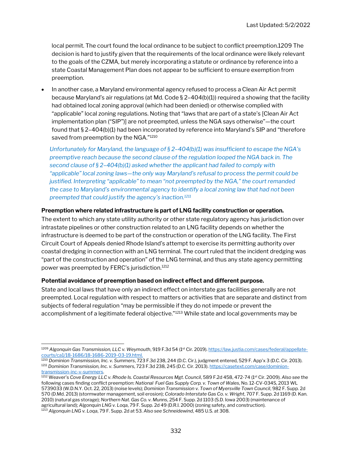local permit. The court found the local ordinance to be subject to conflict preemption.1209 The decision is hard to justify given that the requirements of the local ordinance were likely relevant to the goals of the CZMA, but merely incorporating a statute or ordinance by reference into a state Coastal Management Plan does not appear to be sufficient to ensure exemption from preemption.

 In another case, a Maryland environmental agency refused to process a Clean Air Act permit because Maryland's air regulations (at Md. Code § 2–404(b)(1)) required a showing that the facility had obtained local zoning approval (which had been denied) or otherwise complied with "applicable" local zoning regulations. Noting that "laws that are part of a state's [Clean Air Act implementation plan ("SIP")] are not preempted, unless the NGA says otherwise"—the court found that § 2–404(b)(1) had been incorporated by reference into Maryland's SIP and "therefore saved from preemption by the NGA."<sup>1210</sup>

Unfortunately for Maryland, the language of § 2–404(b)(1) was insufficient to escape the NGA's preemptive reach because the second clause of the regulation looped the NGA back in. The second clause of  $\S 2-404(b)(1)$  asked whether the applicant had failed to comply with "applicable" local zoning laws—the only way Maryland's refusal to process the permit could be justified. Interpreting "applicable" to mean "not preempted by the NGA," the court remanded the case to Maryland's environmental agency to identify a local zoning law that had not been preempted that could justify the agency's inaction.<sup>1211</sup>

#### Preemption where related infrastructure is part of LNG facility construction or operation.

The extent to which any state utility authority or other state regulatory agency has jurisdiction over intrastate pipelines or other construction related to an LNG facility depends on whether the infrastructure is deemed to be part of the construction or operation of the LNG facility. The First Circuit Court of Appeals denied Rhode Island's attempt to exercise its permitting authority over coastal dredging in connection with an LNG terminal. The court ruled that the incident dredging was "part of the construction and operation" of the LNG terminal, and thus any state agency permitting power was preempted by FERC's jurisdiction.<sup>1212</sup>

#### Potential avoidance of preemption based on indirect effect and different purpose.

State and local laws that have only an indirect effect on interstate gas facilities generally are not preempted. Local regulation with respect to matters or activities that are separate and distinct from subjects of federal regulation "may be permissible if they do not impede or prevent the accomplishment of a legitimate federal objective."<sup>1213</sup> While state and local governments may be

<sup>1209</sup> Algonquin Gas Transmission, LLC v. Weymouth, 919 F.3d 54 (1<sup>st</sup> Cir. 2019). https://law.justia.com/cases/federal/appellatecourts/ca1/18-1686/18-1686-2019-03-19.html.

<sup>&</sup>lt;sup>1210</sup> Dominion Transmission, Inc. v. Summers, 723 F.3d 238, 244 (D.C. Cir.), judgment entered, 529 F. App'x 3 (D.C. Cir. 2013). 1211 Dominion Transmission, Inc. v. Summers, 723 F.3d 238, 245 (D.C. Cir. 2013). https://casetext.com/case/dominiontransmission-inc-v-summers.

<sup>1212</sup> Weaver's Cove Energy LLC v. Rhode Is. Coastal Resources Mgt. Council, 589 F.2d 458, 472-74 (1<sup>st</sup> Cir. 2009). Also see the following cases finding conflict preemption: National Fuel Gas Supply Corp. v. Town of Wales, No. 12-CV-034S, 2013 WL 5739033 (W.D.N.Y. Oct. 22, 2013) (noise levels); Dominion Transmission v. Town of Myersville Town Council, 982 F. Supp. 2d 570 (D.Md. 2013) (stormwater management, soil erosion); Colorado Interstate Gas Co. v. Wright, 707 F. Supp. 2d 1169 (D. Kan. 2010) (natural gas storage); Northern Nat. Gas Co. v. Munns, 254 F. Supp. 2d 1103 (S.D. Iowa 2003) (maintenance of agricultural land); Algonquin LNG v. Loqa, 79 F. Supp. 2d 49 (D.R.I. 2000) (zoning safety, and construction). <sup>1213</sup> Algonquin LNG v. Loqa, 79 F. Supp. 2d at 53. Also see Schneidewind, 485 U.S. at 308.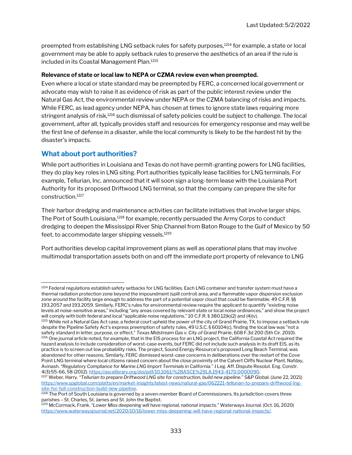preempted from establishing LNG setback rules for safety purposes,<sup>1214</sup> for example, a state or local government may be able to apply setback rules to preserve the aesthetics of an area if the rule is included in its Coastal Management Plan.<sup>1215</sup>

#### Relevance of state or local law to NEPA or CZMA review even when preempted.

Even where a local or state standard may be preempted by FERC, a concerned local government or advocate may wish to raise it as evidence of risk as part of the public interest review under the Natural Gas Act, the environmental review under NEPA or the CZMA balancing of risks and impacts. While FERC, as lead agency under NEPA, has chosen at times to ignore state laws requiring more stringent analysis of risk,<sup>1216</sup> such dismissal of safety policies could be subject to challenge. The local government, after all, typically provides staff and resources for emergency response and may well be the first line of defense in a disaster, while the local community is likely to be the hardest hit by the disaster's impacts.

#### What about port authorities?

While port authorities in Louisiana and Texas do not have permit-granting powers for LNG facilities, they do play key roles in LNG siting. Port authorities typically lease facilities for LNG terminals. For example, Tellurian, Inc. announced that it will soon sign a long-term lease with the Louisiana Port Authority for its proposed Driftwood LNG terminal, so that the company can prepare the site for construction.<sup>1217</sup>

Their harbor dredging and maintenance activities can facilitate initiatives that involve larger ships. The Port of South Louisiana,<sup>1218</sup> for example, recently persuaded the Army Corps to conduct dredging to deepen the Mississippi River Ship Channel from Baton Rouge to the Gulf of Mexico by 50 feet, to accommodate larger shipping vessels.<sup>1219</sup>

Port authorities develop capital improvement plans as well as operational plans that may involve multimodal transportation assets both on and off the immediate port property of relevance to LNG

<sup>1214</sup> Federal regulations establish safety setbacks for LNG facilities. Each LNG container and transfer system must have a thermal radiation protection zone beyond the impoundment (spill control) area, and a flammable vapor dispersion exclusion zone around the facility large enough to address the part of a potential vapor cloud that could be flammable. 49 C.F.R. §§ 193.2057 and 193.2059. Similarly, FERC's rules for environmental review require the applicant to quantify "existing noise levels at noise-sensitive areas," including "any areas covered by relevant state or local noise ordinances," and show the project will comply with both federal and local "applicable noise regulations." 10 C.F.R. § 380.12(k)(2) and (4)(v).

<sup>1215</sup> While not a Natural Gas Act case, a federal court upheld the power of the city of Grand Prairie, TX, to impose a setback rule despite the Pipeline Safety Act's express preemption of safety rules, 49 U.S.C. § 60104(c), finding the local law was "not a safety standard in letter, purpose, or effect." Texas Midstream Gas v. City of Grand Prairie, 608 F.3d 200 (5th Cir. 2010). <sup>1216</sup> One journal article noted, for example, that in the EIS process for an LNG project, the California Coastal Act required the hazard analysis to include consideration of worst-case events, but FERC did not include such analysis in its draft EIS, as its practice is to screen out low probability risks. The project, Sound Energy Resource's proposed Long Beach Terminal, was abandoned for other reasons. Similarly, FERC dismissed worst-case concerns in deliberations over the restart of the Cove Point LNG terminal where local citizens raised concern about the close proximity of the Calvert Cliffs Nuclear Plant. Nafday, Avinash. "Regulatory Compliance for Marine LNG Import Terminals in California." J Leg. Aff. Dispute Resolut. Eng. Constr. 4(3):55-66, 58 (2012). https://ascelibrary.org/doi/pdf/10.1061/%28ASCE%29LA.1943-4170.0000090.

<sup>&</sup>lt;sup>1217</sup> Weber, Harry. "Tellurian to prepare Driftwood LNG site for construction, build new pipeline." S&P Global. (June 22, 2021) https://www.spglobal.com/platts/en/market-insights/latest-news/natural-gas/062221-tellurian-to-prepare-driftwood-lngsite-for-full-construction-build-new-pipeline.

<sup>1218</sup> The Port of South Louisiana is governed by a seven-member Board of Commissioners. Its jurisdiction covers three parishes – St. Charles, St. James and St. John the Baptist.

<sup>&</sup>lt;sup>1219</sup> McCormack, Frank. "Lower Miss deepening will have regional, national impacts." Waterways Journal. (Oct. 16, 2020) https://www.waterwaysjournal.net/2020/10/16/lower-miss-deepening-will-have-regional-national-impacts/.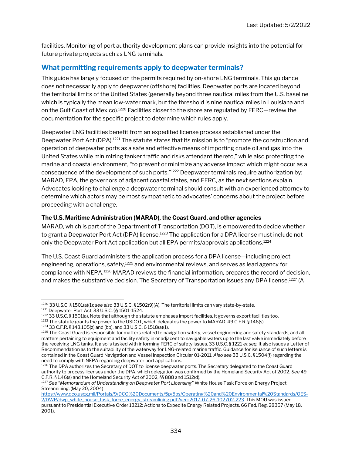facilities. Monitoring of port authority development plans can provide insights into the potential for future private projects such as LNG terminals.

#### What permitting requirements apply to deepwater terminals?

This guide has largely focused on the permits required by on-shore LNG terminals. This guidance does not necessarily apply to deepwater (offshore) facilities. Deepwater ports are located beyond the territorial limits of the United States (generally beyond three nautical miles from the U.S. baseline which is typically the mean low-water mark, but the threshold is nine nautical miles in Louisiana and on the Gulf Coast of Mexico).<sup>1220</sup> Facilities closer to the shore are regulated by FERC-review the documentation for the specific project to determine which rules apply.

Deepwater LNG facilities benefit from an expedited license process established under the Deepwater Port Act (DPA).<sup>1221</sup> The statute states that its mission is to "promote the construction and operation of deepwater ports as a safe and effective means of importing crude oil and gas into the United States while minimizing tanker traffic and risks attendant thereto," while also protecting the marine and coastal environment, "to prevent or minimize any adverse impact which might occur as a consequence of the development of such ports."<sup>1222</sup> Deepwater terminals require authorization by: MARAD, EPA, the governors of adjacent coastal states, and FERC, as the next sections explain. Advocates looking to challenge a deepwater terminal should consult with an experienced attorney to determine which actors may be most sympathetic to advocates' concerns about the project before proceeding with a challenge.

#### The U.S. Maritime Administration (MARAD), the Coast Guard, and other agencies

MARAD, which is part of the Department of Transportation (DOT), is empowered to decide whether to grant a Deepwater Port Act (DPA) license.<sup>1223</sup> The application for a DPA license must include not only the Deepwater Port Act application but all EPA permits/approvals applications.<sup>1224</sup>

The U.S. Coast Guard administers the application process for a DPA license—including project engineering, operations, safety,<sup>1225</sup> and environmental reviews, and serves as lead agency for compliance with NEPA.<sup>1226</sup> MARAD reviews the financial information, prepares the record of decision, and makes the substantive decision. The Secretary of Transportation issues any DPA license.<sup>1227</sup> (A

<sup>1220 33</sup> U.S.C. § 1501(a)(1); see also 33 U.S.C. § 1502(9)(A). The territorial limits can vary state-by-state. <sup>1221</sup> Deepwater Port Act, 33 U.S.C. §§ 1501-1524.

 $1222$  33 U.S.C. § 1501(a). Note that although the statute emphases import facilities, it governs export facilities too.

<sup>1223</sup> The statute grants the power to the USDOT, which delegates the power to MARAD. 49 C.F.R. § 146(s).

<sup>1224</sup> 33 C.F.R. § 148.105(z) and (bb), and 33 U.S.C. 6 1518(a)(1).

 $1225$  The Coast Guard is responsible for matters related to navigation safety, vessel engineering and safety standards, and all matters pertaining to equipment and facility safety in or adjacent to navigable waters up to the last valve immediately before the receiving LNG tanks. It also is tasked with informing FERC of safety issues. 33 U.S.C. § 1221 et seq. It also issues a Letter of Recommendation as to the suitability of the waterway for LNG-related marine traffic. Guidance for issuance of such letters is contained in the Coast Guard Navigation and Vessel Inspection Circular 01-2011. Also see 33 U.S.C. § 1504(f) regarding the need to comply with NEPA regarding deepwater port applications.

<sup>1226</sup> The DPA authorizes the Secretary of DOT to license deepwater ports. The Secretary delegated to the Coast Guard authority to process licenses under the DPA, which delegation was confirmed by the Homeland Security Act of 2002. See 49 C.F.R. § 1.46(s) and the Homeland Security Act of 2002, §§ 888 and 1512(d).

<sup>1227</sup> See "Memorandum of Understanding on Deepwater Port Licensing" White House Task Force on Energy Project Streamlining. (May 20, 2004)

https://www.dco.uscg.mil/Portals/9/DCO%20Documents/5p/5ps/Operating%20and%20Environmental%20Standards/OES-2/DWP/dwp\_white\_house\_task\_force\_energy\_streamlining.pdf?ver=2017-07-26-102702-223. This MOU was issued pursuant to Presidential Executive Order 13212: Actions to Expedite Energy Related Projects. 66 Fed. Reg. 28357 (May 18, 2001).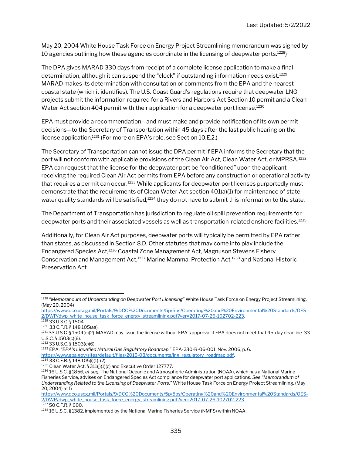May 20, 2004 White House Task Force on Energy Project Streamlining memorandum was signed by 10 agencies outlining how these agencies coordinate in the licensing of deepwater ports.<sup>1228</sup>)

The DPA gives MARAD 330 days from receipt of a complete license application to make a final determination, although it can suspend the "clock" if outstanding information needs exist.<sup>1229</sup> MARAD makes its determination with consultation or comments from the EPA and the nearest coastal state (which it identifies). The U.S. Coast Guard's regulations require that deepwater LNG projects submit the information required for a Rivers and Harbors Act Section 10 permit and a Clean Water Act section 404 permit with their application for a deepwater port license.<sup>1230</sup>

EPA must provide a recommendation—and must make and provide notification of its own permit decisions—to the Secretary of Transportation within 45 days after the last public hearing on the license application.<sup>1231</sup> (For more on EPA's role, see Section 10.E.2.)

The Secretary of Transportation cannot issue the DPA permit if EPA informs the Secretary that the port will not conform with applicable provisions of the Clean Air Act, Clean Water Act, or MPRSA.<sup>1232</sup> EPA can request that the license for the deepwater port be "conditioned" upon the applicant receiving the required Clean Air Act permits from EPA before any construction or operational activity that requires a permit can occur.<sup>1233</sup> While applicants for deepwater port licenses purportedly must demonstrate that the requirements of Clean Water Act section 401(a)(1) for maintenance of state water quality standards will be satisfied,<sup>1234</sup> they do not have to submit this information to the state.

The Department of Transportation has jurisdiction to regulate oil spill prevention requirements for deepwater ports and their associated vessels as well as transportation-related onshore facilities.<sup>1235</sup>

Additionally, for Clean Air Act purposes, deepwater ports will typically be permitted by EPA rather than states, as discussed in Section 8.D. Other statutes that may come into play include the Endangered Species Act,<sup>1236</sup> Coastal Zone Management Act, Magnuson Stevens Fishery Conservation and Management Act,<sup>1237</sup> Marine Mammal Protection Act,<sup>1238</sup> and National Historic Preservation Act.

<sup>1228 &</sup>quot;Memorandum of Understanding on Deepwater Port Licensing" White House Task Force on Energy Project Streamlining. (May 20, 2004)

https://www.dco.uscg.mil/Portals/9/DCO%20Documents/5p/5ps/Operating%20and%20Environmental%20Standards/OES-2/DWP/dwp\_white\_house\_task\_force\_energy\_streamlining.pdf?ver=2017-07-26-102702-223.

<sup>1229</sup> 33 U.S.C. § 1504.

<sup>1230</sup> 33 C.F.R. § 148.105(aa).

<sup>1231 33</sup> U.S.C. § 1504(e)(2). MARAD may issue the license without EPA's approval if EPA does not meet that 45-day deadline. 33 U.S.C. § 1503(c)(6).

<sup>1232</sup> 33 U.S.C. § 1503(c)(6).

<sup>1233</sup> EPA. "EPA's Liquefied Natural Gas Regulatory Roadmap." EPA-230-B-06-001. Nov. 2006, p. 6. https://www.epa.gov/sites/default/files/2015-08/documents/lng\_regulatory\_roadmap.pdf.

 $1234$  33 C.F.R. § 148.105(i)(1)-(2).

<sup>1235</sup> Clean Water Act, § 311(j)(1)(c) and Executive Order 127777.

<sup>1236 16</sup> U.S.C. § 1856, et seq. The National Oceanic and Atmospheric Administration (NOAA), which has a National Marine Fisheries Service, advises on Endangered Species Act compliance for deepwater port applications. See "Memorandum of Understanding Related to the Licensing of Deepwater Ports." White House Task Force on Energy Project Streamlining. (May 20, 2004) at 5

https://www.dco.uscg.mil/Portals/9/DCO%20Documents/5p/5ps/Operating%20and%20Environmental%20Standards/OES-2/DWP/dwp\_white\_house\_task\_force\_energy\_streamlining.pdf?ver=2017-07-26-102702-223. <sup>1237</sup> 50 C.F.R. § 600.

<sup>1238 16</sup> U.S.C. § 1382, implemented by the National Marine Fisheries Service (NMFS) within NOAA.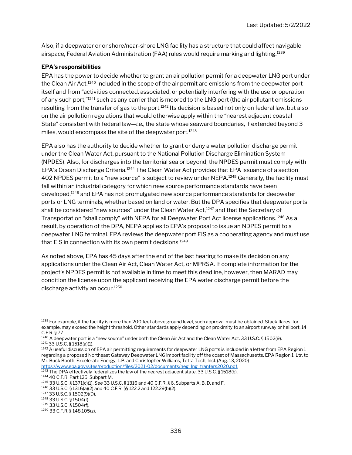Also, if a deepwater or onshore/near-shore LNG facility has a structure that could affect navigable airspace, Federal Aviation Administration (FAA) rules would require marking and lighting.<sup>1239</sup>

#### EPA's responsibilities

EPA has the power to decide whether to grant an air pollution permit for a deepwater LNG port under the Clean Air Act.<sup>1240</sup> Included in the scope of the air permit are emissions from the deepwater port itself and from "activities connected, associated, or potentially interfering with the use or operation of any such port,"<sup>1241</sup> such as any carrier that is moored to the LNG port (the air pollutant emissions resulting from the transfer of gas to the port.<sup>1242</sup> Its decision is based not only on federal law, but also on the air pollution regulations that would otherwise apply within the "nearest adjacent coastal State" consistent with federal law—i.e., the state whose seaward boundaries, if extended beyond 3 miles, would encompass the site of the deepwater port.<sup>1243</sup>

EPA also has the authority to decide whether to grant or deny a water pollution discharge permit under the Clean Water Act, pursuant to the National Pollution Discharge Elimination System (NPDES). Also, for discharges into the territorial sea or beyond, the NPDES permit must comply with EPA's Ocean Discharge Criteria.<sup>1244</sup> The Clean Water Act provides that EPA issuance of a section 402 NPDES permit to a "new source" is subject to review under NEPA.<sup>1245</sup> Generally, the facility must fall within an industrial category for which new source performance standards have been developed,<sup>1246</sup> and EPA has not promulgated new source performance standards for deepwater ports or LNG terminals, whether based on land or water. But the DPA specifies that deepwater ports shall be considered "new sources" under the Clean Water Act, $1247$  and that the Secretary of Transportation "shall comply" with NEPA for all Deepwater Port Act license applications.<sup>1248</sup> As a result, by operation of the DPA, NEPA applies to EPA's proposal to issue an NDPES permit to a deepwater LNG terminal. EPA reviews the deepwater port EIS as a cooperating agency and must use that EIS in connection with its own permit decisions.<sup>1249</sup>

As noted above, EPA has 45 days after the end of the last hearing to make its decision on any applications under the Clean Air Act, Clean Water Act, or MPRSA. If complete information for the project's NPDES permit is not available in time to meet this deadline, however, then MARAD may condition the license upon the applicant receiving the EPA water discharge permit before the discharge activity an occur.<sup>1250</sup>

<sup>1239</sup> For example, if the facility is more than 200 feet above ground level, such approval must be obtained. Stack flares, for example, may exceed the height threshold. Other standards apply depending on proximity to an airport runway or heliport. 14 C.F.R. § 77.

<sup>&</sup>lt;sup>1240</sup> A deepwater port is a "new source" under both the Clean Air Act and the Clean Water Act. 33 U.S.C. § 1502(9). <sup>1241</sup> 33 U.S.C. § 1518(a)(1).

 $1242$  A useful discussion of EPA air permitting requirements for deepwater LNG ports is included in a letter from EPA Region 1 regarding a proposed Northeast Gateway Deepwater LNG import facility off the coast of Massachusetts. EPA Region 1. Ltr. to Mr. Buck Booth, Excelerate Energy, L.P. and Christopher Williams, Tetra Tech, Incl. (Aug. 13, 2020) https://www.epa.gov/sites/production/files/2021-02/documents/neg\_lng\_tranfers2020.pdf.

<sup>1243</sup> The DPA effectively federalizes the law of the nearest adjacent state. 33 U.S.C. § 1518(b).

<sup>1244</sup> 40 C.F.R. Part 125, Subpart M.

<sup>1245</sup> 33 U.S.C. § 1371(c)(1). See 33 U.S.C. § 1316 and 40 C.F.R. § 6, Subparts A, B, D, and F.

<sup>1246</sup> 33 U.S.C. § 1316(a)(2) and 40 C.F.R. §§ 122.2 and 122.29(b)(2).

<sup>1247</sup> 33 U.S.C. § 1502(9)(D).

<sup>1248</sup> 33 U.S.C. § 1504(f).

<sup>1249</sup> 33 U.S.C. § 1504(f).

<sup>1250</sup> 33 C.F.R. § 148.105(z).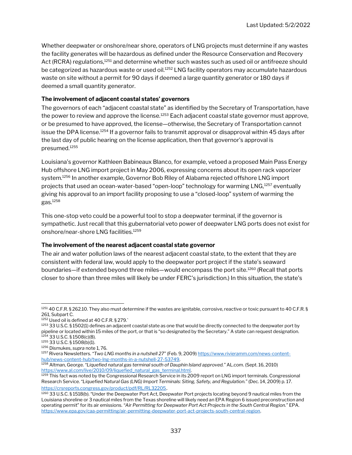Whether deepwater or onshore/near shore, operators of LNG projects must determine if any wastes the facility generates will be hazardous as defined under the Resource Conservation and Recovery Act (RCRA) regulations,<sup>1251</sup> and determine whether such wastes such as used oil or antifreeze should be categorized as hazardous waste or used oil.<sup>1252</sup> LNG facility operators may accumulate hazardous waste on site without a permit for 90 days if deemed a large quantity generator or 180 days if deemed a small quantity generator.

#### The involvement of adjacent coastal states' governors

The governors of each "adjacent coastal state" as identified by the Secretary of Transportation, have the power to review and approve the license.<sup>1253</sup> Each adjacent coastal state governor must approve, or be presumed to have approved, the license—otherwise, the Secretary of Transportation cannot issue the DPA license.<sup>1254</sup> If a governor fails to transmit approval or disapproval within 45 days after the last day of public hearing on the license application, then that governor's approval is presumed.<sup>1255</sup>

Louisiana's governor Kathleen Babineaux Blanco, for example, vetoed a proposed Main Pass Energy Hub offshore LNG import project in May 2006, expressing concerns about its open rack vaporizer system.<sup>1256</sup> In another example, Governor Bob Riley of Alabama rejected offshore LNG import projects that used an ocean-water-based "open-loop" technology for warming LNG,<sup>1257</sup> eventually giving his approval to an import facility proposing to use a "closed-loop" system of warming the gas.<sup>1258</sup>

This one-stop veto could be a powerful tool to stop a deepwater terminal, if the governor is sympathetic. Just recall that this gubernatorial veto power of deepwater LNG ports does not exist for onshore/near-shore LNG facilities.<sup>1259</sup>

#### The involvement of the nearest adjacent coastal state governor

The air and water pollution laws of the nearest adjacent coastal state, to the extent that they are consistent with federal law, would apply to the deepwater port project if the state's seaward boundaries—if extended beyond three miles—would encompass the port site.<sup>1260</sup> (Recall that ports closer to shore than three miles will likely be under FERC's jurisdiction.) In this situation, the state's

<sup>1251 40</sup> C.F.R. § 262.10. They also must determine if the wastes are ignitable, corrosive, reactive or toxic pursuant to 40 C.F.R. § 261, Subpart C.

<sup>1252</sup> Used oil is defined at 40 C.F.R. § 279.

<sup>1253 33</sup> U.S.C. § 1502(1) defines an adjacent coastal state as one that would be directly connected to the deepwater port by pipeline or located within 15 miles of the port, or that is "so designated by the Secretary." A state can request designation. <sup>1254</sup> 33 U.S.C. § 1508(c)(8).

<sup>1255</sup> 33 U.S.C. § 1508(b)(1).

<sup>1256</sup> Dismukes, supra note 1, 76.

<sup>1257</sup> Rivera Newsletters. "Two LNG months in a nutshell 27" (Feb. 9, 2009) https://www.rivieramm.com/news-contenthub/news-content-hub/two-lng-months-in-a-nutshell-27-53749.

<sup>&</sup>lt;sup>1258</sup> Altman, George. "Liquefied natural gas terminal south of Dauphin Island approved." AL.com. (Sept. 16, 2010) https://www.al.com/live/2010/09/liquefied\_natural\_gas\_terminal.html.

<sup>1259</sup> This fact was noted by the Congressional Research Service in its 2009 report on LNG import terminals. Congressional Research Service. "Liquefied Natural Gas (LNG) Import Terminals: Siting, Safety, and Regulation." (Dec. 14, 2009) p. 17. https://crsreports.congress.gov/product/pdf/RL/RL32205.

<sup>1260 33</sup> U.S.C. § 1518(b). "Under the Deepwater Port Act, Deepwater Port projects locating beyond 9 nautical miles from the Louisiana shoreline or 3 nautical miles from the Texas shoreline will likely need an EPA Region 6 issued preconstruction and operating permit" for its air emissions. "Air Permitting for Deepwater Port Act Projects in the South Central Region." EPA. https://www.epa.gov/caa-permitting/air-permitting-deepwater-port-act-projects-south-central-region.